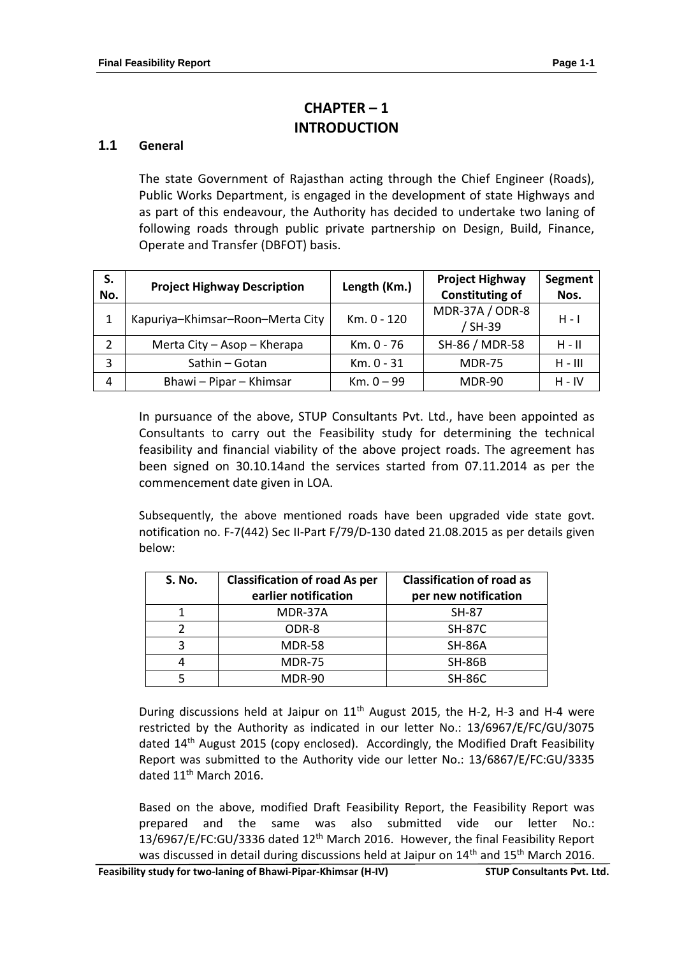# **CHAPTER – 1 INTRODUCTION**

### **1.1 General**

The state Government of Rajasthan acting through the Chief Engineer (Roads), Public Works Department, is engaged in the development of state Highways and as part of this endeavour, the Authority has decided to undertake two laning of following roads through public private partnership on Design, Build, Finance, Operate and Transfer (DBFOT) basis.

| S.<br>No. | <b>Project Highway Description</b> | Length (Km.) | <b>Project Highway</b><br><b>Constituting of</b> | <b>Segment</b><br>Nos. |
|-----------|------------------------------------|--------------|--------------------------------------------------|------------------------|
| 1         | Kapuriya-Khimsar-Roon-Merta City   | Km. 0 - 120  | MDR-37A / ODR-8<br>/ SH-39                       | H - I                  |
| 2         | Merta City - Asop - Kherapa        | Km. 0 - 76   | SH-86 / MDR-58                                   | $H - H$                |
| 3         | Sathin - Gotan                     | Km. 0 - 31   | <b>MDR-75</b>                                    | $H - III$              |
| 4         | Bhawi - Pipar - Khimsar            | $Km. 0 - 99$ | <b>MDR-90</b>                                    | $H - IV$               |

In pursuance of the above, STUP Consultants Pvt. Ltd., have been appointed as Consultants to carry out the Feasibility study for determining the technical feasibility and financial viability of the above project roads. The agreement has been signed on 30.10.14and the services started from 07.11.2014 as per the commencement date given in LOA.

Subsequently, the above mentioned roads have been upgraded vide state govt. notification no. F-7(442) Sec II-Part F/79/D-130 dated 21.08.2015 as per details given below:

| <b>S. No.</b> | <b>Classification of road As per</b><br>earlier notification | <b>Classification of road as</b><br>per new notification |  |
|---------------|--------------------------------------------------------------|----------------------------------------------------------|--|
|               | MDR-37A                                                      | SH-87                                                    |  |
|               | ODR-8                                                        | <b>SH-87C</b>                                            |  |
| 3             | <b>MDR-58</b>                                                | <b>SH-86A</b>                                            |  |
|               | <b>MDR-75</b>                                                | <b>SH-86B</b>                                            |  |
|               | <b>MDR-90</b>                                                | <b>SH-86C</b>                                            |  |

During discussions held at Jaipur on  $11<sup>th</sup>$  August 2015, the H-2, H-3 and H-4 were restricted by the Authority as indicated in our letter No.: 13/6967/E/FC/GU/3075 dated 14<sup>th</sup> August 2015 (copy enclosed). Accordingly, the Modified Draft Feasibility Report was submitted to the Authority vide our letter No.: 13/6867/E/FC:GU/3335 dated 11<sup>th</sup> March 2016.

Based on the above, modified Draft Feasibility Report, the Feasibility Report was prepared and the same was also submitted vide our letter No.: 13/6967/E/FC:GU/3336 dated 12th March 2016. However, the final Feasibility Report was discussed in detail during discussions held at Jaipur on 14<sup>th</sup> and 15<sup>th</sup> March 2016.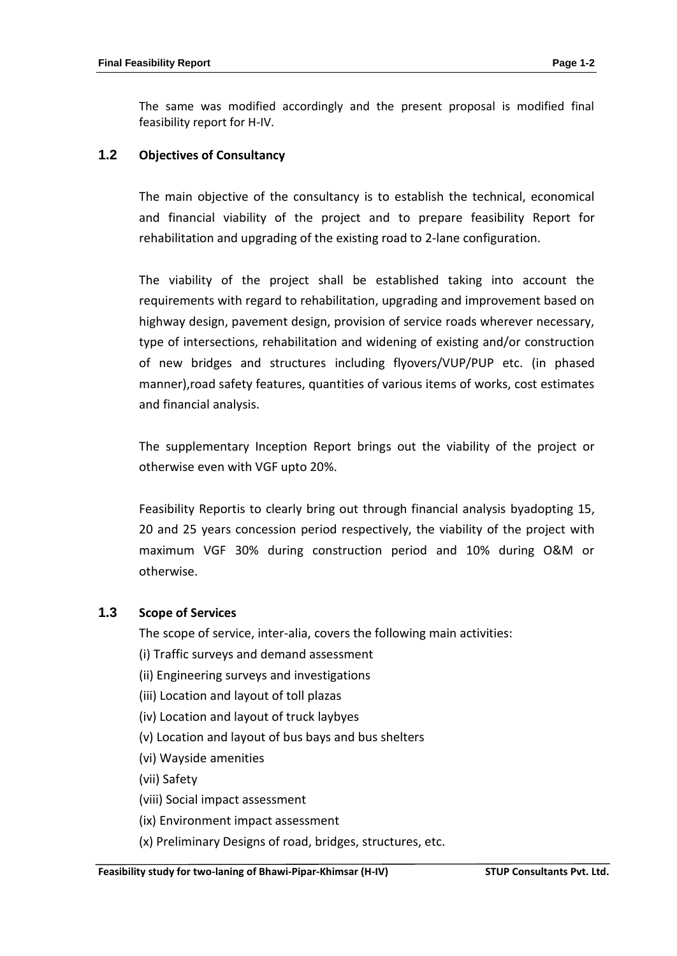The same was modified accordingly and the present proposal is modified final feasibility report for H-IV.

#### **1.2 Objectives of Consultancy**

The main objective of the consultancy is to establish the technical, economical and financial viability of the project and to prepare feasibility Report for rehabilitation and upgrading of the existing road to 2-lane configuration.

The viability of the project shall be established taking into account the requirements with regard to rehabilitation, upgrading and improvement based on highway design, pavement design, provision of service roads wherever necessary, type of intersections, rehabilitation and widening of existing and/or construction of new bridges and structures including flyovers/VUP/PUP etc. (in phased manner),road safety features, quantities of various items of works, cost estimates and financial analysis.

The supplementary Inception Report brings out the viability of the project or otherwise even with VGF upto 20%.

Feasibility Reportis to clearly bring out through financial analysis byadopting 15, 20 and 25 years concession period respectively, the viability of the project with maximum VGF 30% during construction period and 10% during O&M or otherwise.

#### **1.3 Scope of Services**

The scope of service, inter-alia, covers the following main activities:

- (i) Traffic surveys and demand assessment
- (ii) Engineering surveys and investigations
- (iii) Location and layout of toll plazas
- (iv) Location and layout of truck laybyes
- (v) Location and layout of bus bays and bus shelters
- (vi) Wayside amenities
- (vii) Safety
- (viii) Social impact assessment
- (ix) Environment impact assessment
- (x) Preliminary Designs of road, bridges, structures, etc.